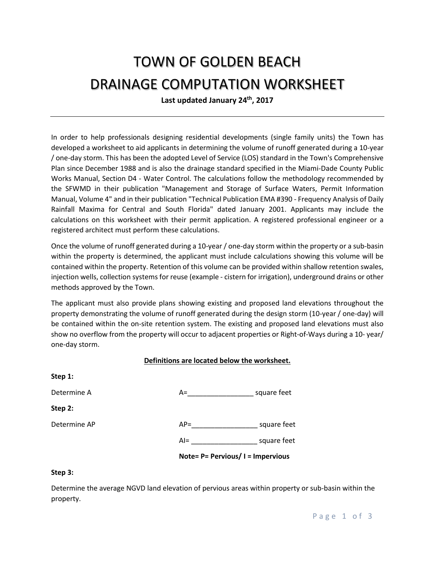# TOWN OF GOLDEN BEACH DRAINAGE COMPUTATION WORKSHEET

**Last updated January 24th, 2017**

In order to help professionals designing residential developments (single family units) the Town has developed a worksheet to aid applicants in determining the volume of runoff generated during a 10-year / one-day storm. This has been the adopted Level of Service (LOS) standard in the Town's Comprehensive Plan since December 1988 and is also the drainage standard specified in the Miami-Dade County Public Works Manual, Section D4 - Water Control. The calculations follow the methodology recommended by the SFWMD in their publication "Management and Storage of Surface Waters, Permit Information Manual, Volume 4" and in their publication "Technical Publication EMA #390 - Frequency Analysis of Daily Rainfall Maxima for Central and South Florida" dated January 2001. Applicants may include the calculations on this worksheet with their permit application. A registered professional engineer or a registered architect must perform these calculations.

Once the volume of runoff generated during a 10-year / one-day storm within the property or a sub-basin within the property is determined, the applicant must include calculations showing this volume will be contained within the property. Retention of this volume can be provided within shallow retention swales, injection wells, collection systems for reuse (example - cistern for irrigation), underground drains or other methods approved by the Town.

The applicant must also provide plans showing existing and proposed land elevations throughout the property demonstrating the volume of runoff generated during the design storm (10-year / one-day) will be contained within the on-site retention system. The existing and proposed land elevations must also show no overflow from the property will occur to adjacent properties or Right-of-Ways during a 10- year/ one-day storm.

|              | Definitions are located below the worksheet. |                                   |  |
|--------------|----------------------------------------------|-----------------------------------|--|
| Step 1:      |                                              |                                   |  |
| Determine A  | $A=$                                         | square feet                       |  |
| Step 2:      |                                              |                                   |  |
| Determine AP | $AP =$                                       | square feet                       |  |
|              | $Al =$                                       | square feet                       |  |
|              |                                              | Note= P= Pervious/ I = Impervious |  |

# **Step 3:**

Determine the average NGVD land elevation of pervious areas within property or sub-basin within the property.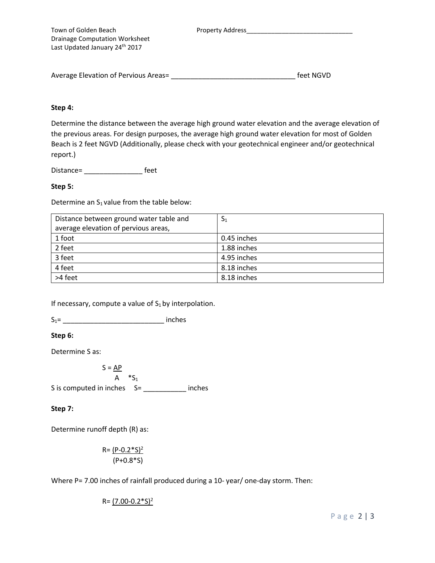| Town of Golden Beach                  |
|---------------------------------------|
| <b>Drainage Computation Worksheet</b> |
| Last Updated January 24th 2017        |

Property Address\_\_\_\_\_\_

| Average Elevation of Pervious Areas= | feet NGVD |
|--------------------------------------|-----------|
|                                      |           |

### **Step 4:**

Determine the distance between the average high ground water elevation and the average elevation of the previous areas. For design purposes, the average high ground water elevation for most of Golden Beach is 2 feet NGVD (Additionally, please check with your geotechnical engineer and/or geotechnical report.)

Distance= \_\_\_\_\_\_\_\_\_\_\_\_\_\_\_ feet

### **Step 5:**

Determine an  $S_1$  value from the table below:

| Distance between ground water table and | S <sub>1</sub> |
|-----------------------------------------|----------------|
| average elevation of pervious areas,    |                |
| 1 foot                                  | 0.45 inches    |
| 2 feet                                  | 1.88 inches    |
| 3 feet                                  | 4.95 inches    |
| 4 feet                                  | 8.18 inches    |
| >4 feet                                 | 8.18 inches    |

If necessary, compute a value of  $S_1$  by interpolation.

S1= \_\_\_\_\_\_\_\_\_\_\_\_\_\_\_\_\_\_\_\_\_\_\_\_\_\_ inches

# **Step 6:**

Determine S as:

 $S = \underline{AP}$ 

A  $*S_1$ S is computed in inches  $S =$  \_\_\_\_\_\_\_\_\_\_\_\_\_\_ inches

# **Step 7:**

Determine runoff depth (R) as:

$$
R = \frac{(P-0.2 \cdot S)^2}{(P+0.8 \cdot S)}
$$

Where P= 7.00 inches of rainfall produced during a 10- year/ one-day storm. Then:

 $R = (7.00 - 0.2 * S)^2$